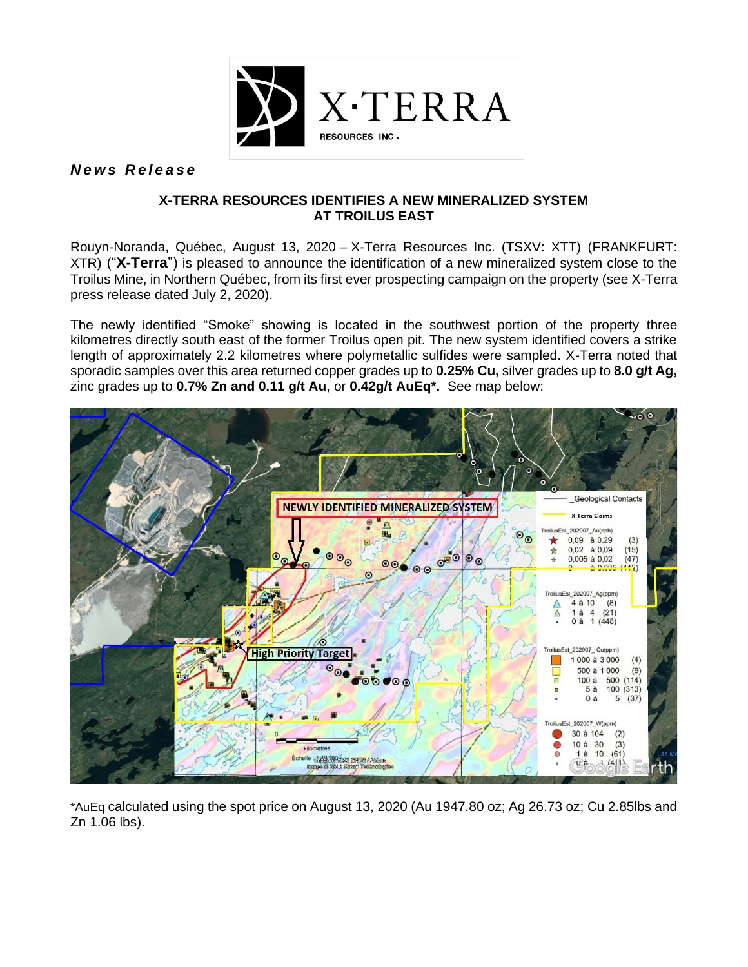

*N e w s R e l e a s e*

# **X-TERRA RESOURCES IDENTIFIES A NEW MINERALIZED SYSTEM AT TROILUS EAST**

Rouyn-Noranda, Québec, August 13, 2020 – X-Terra Resources Inc. (TSXV: XTT) (FRANKFURT: XTR) ("**X-Terra**") is pleased to announce the identification of a new mineralized system close to the Troilus Mine, in Northern Québec, from its first ever prospecting campaign on the property (see X-Terra press release dated July 2, 2020).

The newly identified "Smoke" showing is located in the southwest portion of the property three kilometres directly south east of the former Troilus open pit. The new system identified covers a strike length of approximately 2.2 kilometres where polymetallic sulfides were sampled. X-Terra noted that sporadic samples over this area returned copper grades up to **0.25% Cu,** silver grades up to **8.0 g/t Ag,**  zinc grades up to **0.7% Zn and 0.11 g/t Au**, or **0.42g/t AuEq\*.** See map below:



\*AuEq calculated using the spot price on August 13, 2020 (Au 1947.80 oz; Ag 26.73 oz; Cu 2.85lbs and Zn 1.06 lbs).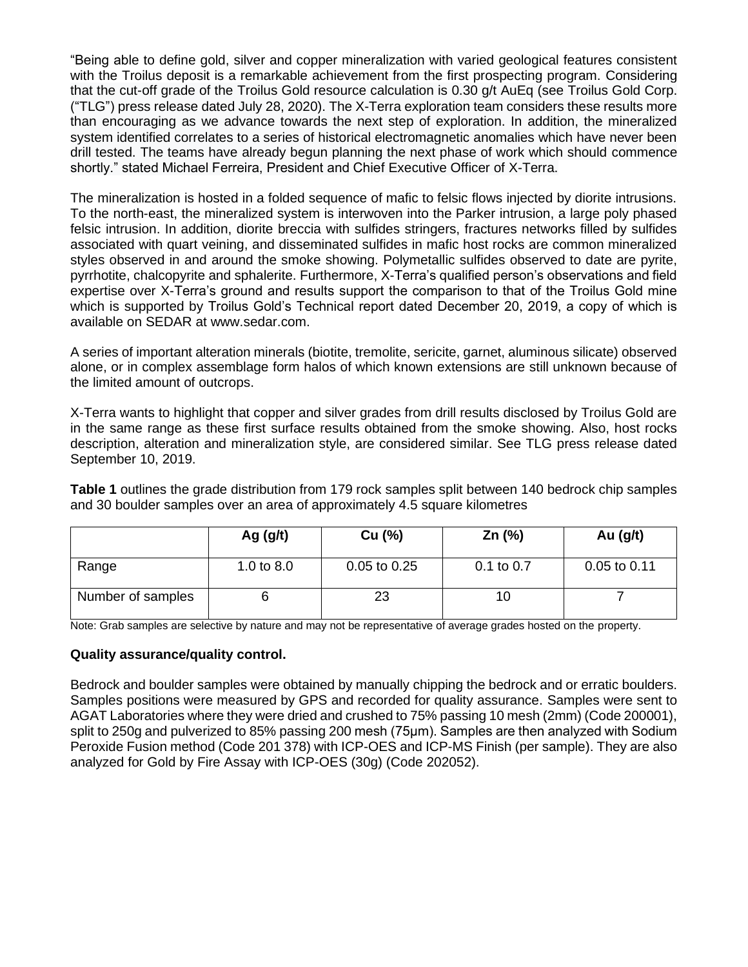"Being able to define gold, silver and copper mineralization with varied geological features consistent with the Troilus deposit is a remarkable achievement from the first prospecting program. Considering that the cut-off grade of the Troilus Gold resource calculation is 0.30 g/t AuEq (see Troilus Gold Corp. ("TLG") press release dated July 28, 2020). The X-Terra exploration team considers these results more than encouraging as we advance towards the next step of exploration. In addition, the mineralized system identified correlates to a series of historical electromagnetic anomalies which have never been drill tested. The teams have already begun planning the next phase of work which should commence shortly." stated Michael Ferreira, President and Chief Executive Officer of X-Terra.

The mineralization is hosted in a folded sequence of mafic to felsic flows injected by diorite intrusions. To the north-east, the mineralized system is interwoven into the Parker intrusion, a large poly phased felsic intrusion. In addition, diorite breccia with sulfides stringers, fractures networks filled by sulfides associated with quart veining, and disseminated sulfides in mafic host rocks are common mineralized styles observed in and around the smoke showing. Polymetallic sulfides observed to date are pyrite, pyrrhotite, chalcopyrite and sphalerite. Furthermore, X-Terra's qualified person's observations and field expertise over X-Terra's ground and results support the comparison to that of the Troilus Gold mine which is supported by Troilus Gold's Technical report dated December 20, 2019, a copy of which is available on SEDAR at www.sedar.com.

A series of important alteration minerals (biotite, tremolite, sericite, garnet, aluminous silicate) observed alone, or in complex assemblage form halos of which known extensions are still unknown because of the limited amount of outcrops.

X-Terra wants to highlight that copper and silver grades from drill results disclosed by Troilus Gold are in the same range as these first surface results obtained from the smoke showing. Also, host rocks description, alteration and mineralization style, are considered similar. See TLG press release dated September 10, 2019.

**Table 1** outlines the grade distribution from 179 rock samples split between 140 bedrock chip samples and 30 boulder samples over an area of approximately 4.5 square kilometres

|                   | Ag $(g/t)$   | Cu (%)       | $Zn$ (%)       | Au $(g/t)$       |
|-------------------|--------------|--------------|----------------|------------------|
| Range             | 1.0 to $8.0$ | 0.05 to 0.25 | $0.1$ to $0.7$ | $0.05$ to $0.11$ |
| Number of samples |              | 23           | 10             |                  |

Note: Grab samples are selective by nature and may not be representative of average grades hosted on the property.

### **Quality assurance/quality control.**

Bedrock and boulder samples were obtained by manually chipping the bedrock and or erratic boulders. Samples positions were measured by GPS and recorded for quality assurance. Samples were sent to AGAT Laboratories where they were dried and crushed to 75% passing 10 mesh (2mm) (Code 200001), split to 250g and pulverized to 85% passing 200 mesh (75µm). Samples are then analyzed with Sodium Peroxide Fusion method (Code 201 378) with ICP-OES and ICP-MS Finish (per sample). They are also analyzed for Gold by Fire Assay with ICP-OES (30g) (Code 202052).